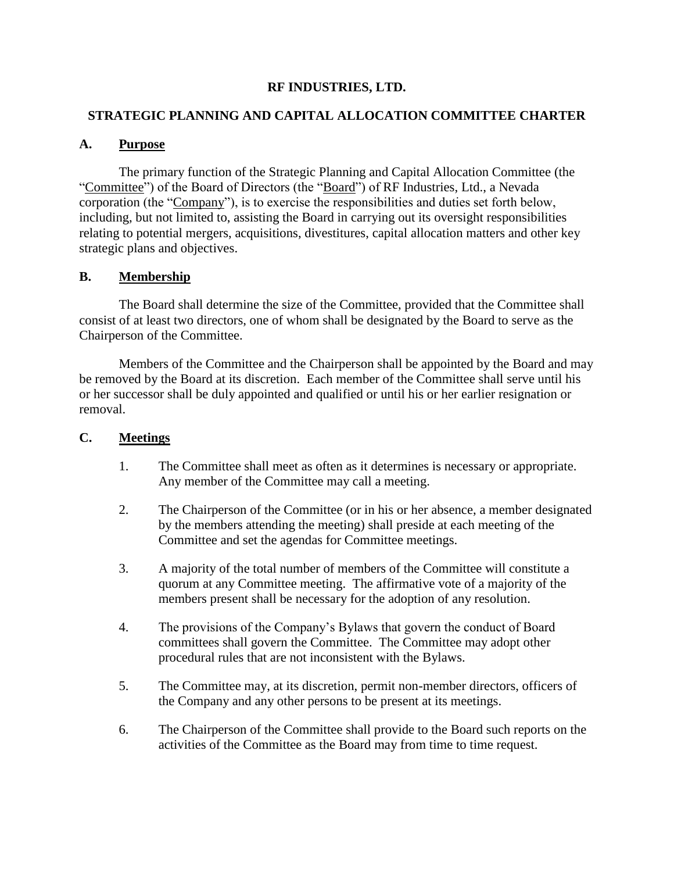## **RF INDUSTRIES, LTD.**

## **STRATEGIC PLANNING AND CAPITAL ALLOCATION COMMITTEE CHARTER**

## **A. Purpose**

The primary function of the Strategic Planning and Capital Allocation Committee (the "Committee") of the Board of Directors (the "Board") of RF Industries, Ltd., a Nevada corporation (the "Company"), is to exercise the responsibilities and duties set forth below, including, but not limited to, assisting the Board in carrying out its oversight responsibilities relating to potential mergers, acquisitions, divestitures, capital allocation matters and other key strategic plans and objectives.

### **B. Membership**

The Board shall determine the size of the Committee, provided that the Committee shall consist of at least two directors, one of whom shall be designated by the Board to serve as the Chairperson of the Committee.

Members of the Committee and the Chairperson shall be appointed by the Board and may be removed by the Board at its discretion. Each member of the Committee shall serve until his or her successor shall be duly appointed and qualified or until his or her earlier resignation or removal.

#### **C. Meetings**

- 1. The Committee shall meet as often as it determines is necessary or appropriate. Any member of the Committee may call a meeting.
- 2. The Chairperson of the Committee (or in his or her absence, a member designated by the members attending the meeting) shall preside at each meeting of the Committee and set the agendas for Committee meetings.
- 3. A majority of the total number of members of the Committee will constitute a quorum at any Committee meeting. The affirmative vote of a majority of the members present shall be necessary for the adoption of any resolution.
- 4. The provisions of the Company's Bylaws that govern the conduct of Board committees shall govern the Committee. The Committee may adopt other procedural rules that are not inconsistent with the Bylaws.
- 5. The Committee may, at its discretion, permit non-member directors, officers of the Company and any other persons to be present at its meetings.
- 6. The Chairperson of the Committee shall provide to the Board such reports on the activities of the Committee as the Board may from time to time request.